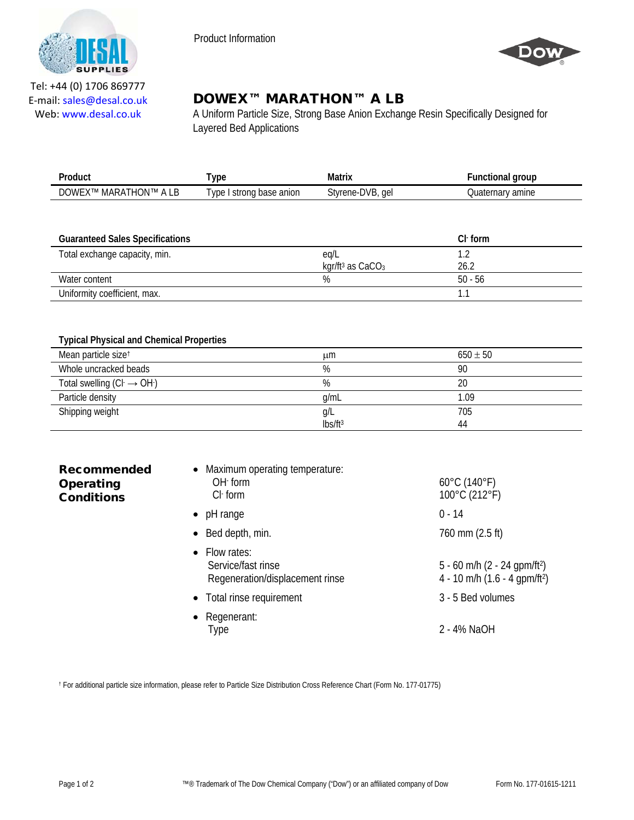

Product Information



Tel: +44 (0) 1706 869777 E‐mail: sales@desal.co.uk Web: www.desal.co.uk

# DOWEX™ MARATHON™ A LB

A Uniform Particle Size, Strong Base Anion Exchange Resin Specifically Designed for Layered Bed Applications

| Product                     | vpe                           | Matrix              | ·unctional group        |
|-----------------------------|-------------------------------|---------------------|-------------------------|
| DOWEX™<br>A LB<br>MARATHON™ | anion<br>strong base<br>' vpe | Styrene-DVB.<br>gel | amine<br>Ouater<br>narv |

| <b>Guaranteed Sales Specifications</b> |                                | $Cl1$ form |
|----------------------------------------|--------------------------------|------------|
| Total exchange capacity, min.          | eg/L                           |            |
|                                        | kgr/ft <sup>3</sup> as $CaCO3$ | 26.2       |
| Water content                          | %                              | $50 - 56$  |
| Uniformity coefficient, max.           |                                |            |

# **Typical Physical and Chemical Properties**

| Mean particle size <sup>t</sup>      | ււm                 | $650 \pm 50$ |
|--------------------------------------|---------------------|--------------|
| Whole uncracked beads                | %                   | 90           |
| Total swelling $(Cl \rightarrow OH)$ | %                   | 20           |
| Particle density                     | g/mL                | 1.09         |
| Shipping weight                      | g/L                 | 705          |
|                                      | Ibs/ft <sup>3</sup> | 44           |

| <b>Recommended</b><br><b>Operating</b><br><b>Conditions</b> | • Maximum operating temperature:<br>$OH1$ form<br>$Cl$ form                    | $60^{\circ}$ C (140 $^{\circ}$ F)<br>$100^{\circ}$ C (212 $^{\circ}$ F)                 |
|-------------------------------------------------------------|--------------------------------------------------------------------------------|-----------------------------------------------------------------------------------------|
|                                                             | $\bullet$ pH range                                                             | $0 - 14$                                                                                |
|                                                             | $\bullet$ Bed depth, min.                                                      | 760 mm (2.5 ft)                                                                         |
|                                                             | $\bullet$ Flow rates:<br>Service/fast rinse<br>Regeneration/displacement rinse | 5 - 60 m/h (2 - 24 gpm/ft <sup>2</sup> )<br>4 - 10 m/h $(1.6 - 4$ gpm/ft <sup>2</sup> ) |
|                                                             | • Total rinse requirement                                                      | 3 - 5 Bed volumes                                                                       |

• Regenerant: Type 2 - 4% NaOH

† For additional particle size information, please refer to Particle Size Distribution Cross Reference Chart (Form No. 177-01775)